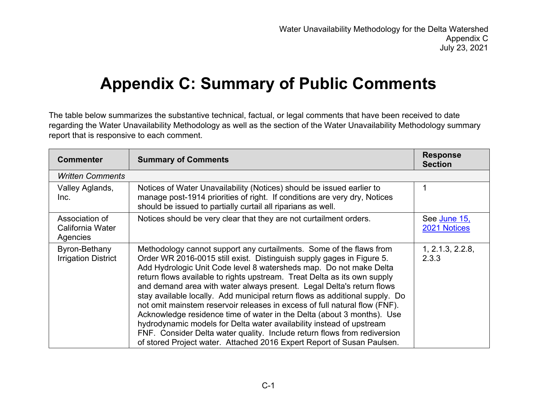## **Appendix C: Summary of Public Comments**

The table below summarizes the substantive technical, factual, or legal comments that have been received to date regarding the Water Unavailability Methodology as well as the section of the Water Unavailability Methodology summary report that is responsive to each comment.

| <b>Commenter</b>                               | <b>Summary of Comments</b>                                                                                                                                                                                                                                                                                                                                                                                                                                                                                                                                                                                                                                                                                                                                                                                                                   | <b>Response</b><br><b>Section</b> |
|------------------------------------------------|----------------------------------------------------------------------------------------------------------------------------------------------------------------------------------------------------------------------------------------------------------------------------------------------------------------------------------------------------------------------------------------------------------------------------------------------------------------------------------------------------------------------------------------------------------------------------------------------------------------------------------------------------------------------------------------------------------------------------------------------------------------------------------------------------------------------------------------------|-----------------------------------|
| <b>Written Comments</b>                        |                                                                                                                                                                                                                                                                                                                                                                                                                                                                                                                                                                                                                                                                                                                                                                                                                                              |                                   |
| Valley Aglands,<br>Inc.                        | Notices of Water Unavailability (Notices) should be issued earlier to<br>manage post-1914 priorities of right. If conditions are very dry, Notices<br>should be issued to partially curtail all riparians as well.                                                                                                                                                                                                                                                                                                                                                                                                                                                                                                                                                                                                                           |                                   |
| Association of<br>California Water<br>Agencies | Notices should be very clear that they are not curtailment orders.                                                                                                                                                                                                                                                                                                                                                                                                                                                                                                                                                                                                                                                                                                                                                                           | See June 15,<br>2021 Notices      |
| Byron-Bethany<br><b>Irrigation District</b>    | Methodology cannot support any curtailments. Some of the flaws from<br>Order WR 2016-0015 still exist. Distinguish supply gages in Figure 5.<br>Add Hydrologic Unit Code level 8 watersheds map. Do not make Delta<br>return flows available to rights upstream. Treat Delta as its own supply<br>and demand area with water always present. Legal Delta's return flows<br>stay available locally. Add municipal return flows as additional supply. Do<br>not omit mainstem reservoir releases in excess of full natural flow (FNF).<br>Acknowledge residence time of water in the Delta (about 3 months). Use<br>hydrodynamic models for Delta water availability instead of upstream<br>FNF. Consider Delta water quality. Include return flows from rediversion<br>of stored Project water. Attached 2016 Expert Report of Susan Paulsen. | 1, 2.1.3, 2.2.8,<br>2.3.3         |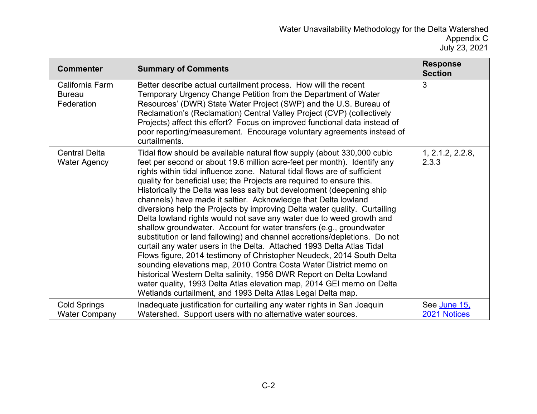| <b>Commenter</b>                               | <b>Summary of Comments</b>                                                                                                                                                                                                                                                                                                                                                                                                                                                                                                                                                                                                                                                                                                                                                                                                                                                                                                                                                                                                                                                                                                                                                                          | <b>Response</b><br><b>Section</b> |
|------------------------------------------------|-----------------------------------------------------------------------------------------------------------------------------------------------------------------------------------------------------------------------------------------------------------------------------------------------------------------------------------------------------------------------------------------------------------------------------------------------------------------------------------------------------------------------------------------------------------------------------------------------------------------------------------------------------------------------------------------------------------------------------------------------------------------------------------------------------------------------------------------------------------------------------------------------------------------------------------------------------------------------------------------------------------------------------------------------------------------------------------------------------------------------------------------------------------------------------------------------------|-----------------------------------|
| California Farm<br><b>Bureau</b><br>Federation | Better describe actual curtailment process. How will the recent<br>Temporary Urgency Change Petition from the Department of Water<br>Resources' (DWR) State Water Project (SWP) and the U.S. Bureau of<br>Reclamation's (Reclamation) Central Valley Project (CVP) (collectively<br>Projects) affect this effort? Focus on improved functional data instead of<br>poor reporting/measurement. Encourage voluntary agreements instead of<br>curtailments.                                                                                                                                                                                                                                                                                                                                                                                                                                                                                                                                                                                                                                                                                                                                            | 3                                 |
| <b>Central Delta</b><br><b>Water Agency</b>    | Tidal flow should be available natural flow supply (about 330,000 cubic<br>feet per second or about 19.6 million acre-feet per month). Identify any<br>rights within tidal influence zone. Natural tidal flows are of sufficient<br>quality for beneficial use; the Projects are required to ensure this.<br>Historically the Delta was less salty but development (deepening ship<br>channels) have made it saltier. Acknowledge that Delta lowland<br>diversions help the Projects by improving Delta water quality. Curtailing<br>Delta lowland rights would not save any water due to weed growth and<br>shallow groundwater. Account for water transfers (e.g., groundwater<br>substitution or land fallowing) and channel accretions/depletions. Do not<br>curtail any water users in the Delta. Attached 1993 Delta Atlas Tidal<br>Flows figure, 2014 testimony of Christopher Neudeck, 2014 South Delta<br>sounding elevations map, 2010 Contra Costa Water District memo on<br>historical Western Delta salinity, 1956 DWR Report on Delta Lowland<br>water quality, 1993 Delta Atlas elevation map, 2014 GEI memo on Delta<br>Wetlands curtailment, and 1993 Delta Atlas Legal Delta map. | 1, 2.1.2, 2.2.8,<br>2.3.3         |
| <b>Cold Springs</b><br><b>Water Company</b>    | Inadequate justification for curtailing any water rights in San Joaquin<br>Watershed. Support users with no alternative water sources.                                                                                                                                                                                                                                                                                                                                                                                                                                                                                                                                                                                                                                                                                                                                                                                                                                                                                                                                                                                                                                                              | See June 15,<br>2021 Notices      |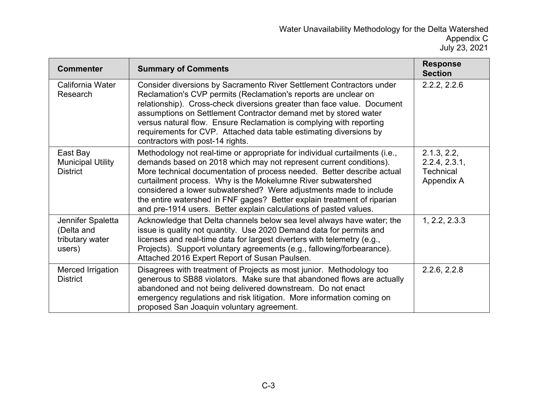| <b>Commenter</b>                                             | <b>Summary of Comments</b>                                                                                                                                                                                                                                                                                                                                                                                                                                                                                       | <b>Response</b><br><b>Section</b>                              |
|--------------------------------------------------------------|------------------------------------------------------------------------------------------------------------------------------------------------------------------------------------------------------------------------------------------------------------------------------------------------------------------------------------------------------------------------------------------------------------------------------------------------------------------------------------------------------------------|----------------------------------------------------------------|
| California Water<br>Research                                 | Consider diversions by Sacramento River Settlement Contractors under<br>Reclamation's CVP permits (Reclamation's reports are unclear on<br>relationship). Cross-check diversions greater than face value. Document<br>assumptions on Settlement Contractor demand met by stored water<br>versus natural flow. Ensure Reclamation is complying with reporting<br>requirements for CVP. Attached data table estimating diversions by<br>contractors with post-14 rights.                                           | 2.2.2, 2.2.6                                                   |
| East Bay<br><b>Municipal Utility</b><br><b>District</b>      | Methodology not real-time or appropriate for individual curtailments (i.e.,<br>demands based on 2018 which may not represent current conditions).<br>More technical documentation of process needed. Better describe actual<br>curtailment process. Why is the Mokelumne River subwatershed<br>considered a lower subwatershed? Were adjustments made to include<br>the entire watershed in FNF gages? Better explain treatment of riparian<br>and pre-1914 users. Better explain calculations of pasted values. | 2.1.3, 2.2,<br>2.2.4, 2.3.1,<br><b>Technical</b><br>Appendix A |
| Jennifer Spaletta<br>(Delta and<br>tributary water<br>users) | Acknowledge that Delta channels below sea level always have water; the<br>issue is quality not quantity. Use 2020 Demand data for permits and<br>licenses and real-time data for largest diverters with telemetry (e.g.,<br>Projects). Support voluntary agreements (e.g., fallowing/forbearance).<br>Attached 2016 Expert Report of Susan Paulsen.                                                                                                                                                              | 1, 2.2, 2.3.3                                                  |
| Merced Irrigation<br><b>District</b>                         | Disagrees with treatment of Projects as most junior. Methodology too<br>generous to SB88 violators. Make sure that abandoned flows are actually<br>abandoned and not being delivered downstream. Do not enact<br>emergency regulations and risk litigation. More information coming on<br>proposed San Joaquin voluntary agreement.                                                                                                                                                                              | 2.2.6, 2.2.8                                                   |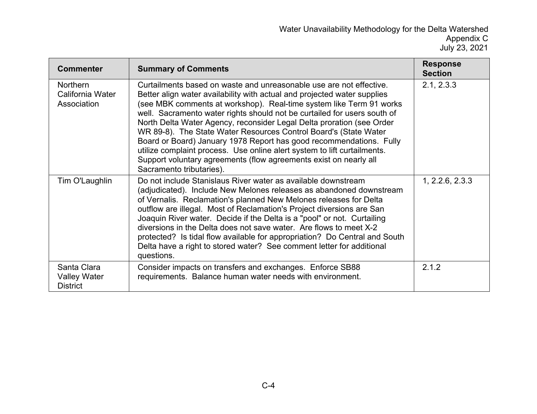| <b>Commenter</b>                                      | <b>Summary of Comments</b>                                                                                                                                                                                                                                                                                                                                                                                                                                                                                                                                                                                                                                                                          | <b>Response</b><br><b>Section</b> |
|-------------------------------------------------------|-----------------------------------------------------------------------------------------------------------------------------------------------------------------------------------------------------------------------------------------------------------------------------------------------------------------------------------------------------------------------------------------------------------------------------------------------------------------------------------------------------------------------------------------------------------------------------------------------------------------------------------------------------------------------------------------------------|-----------------------------------|
| <b>Northern</b><br>California Water<br>Association    | Curtailments based on waste and unreasonable use are not effective.<br>Better align water availability with actual and projected water supplies<br>(see MBK comments at workshop). Real-time system like Term 91 works<br>well. Sacramento water rights should not be curtailed for users south of<br>North Delta Water Agency, reconsider Legal Delta proration (see Order<br>WR 89-8). The State Water Resources Control Board's (State Water<br>Board or Board) January 1978 Report has good recommendations. Fully<br>utilize complaint process. Use online alert system to lift curtailments.<br>Support voluntary agreements (flow agreements exist on nearly all<br>Sacramento tributaries). | 2.1, 2.3.3                        |
| Tim O'Laughlin                                        | Do not include Stanislaus River water as available downstream<br>(adjudicated). Include New Melones releases as abandoned downstream<br>of Vernalis. Reclamation's planned New Melones releases for Delta<br>outflow are illegal. Most of Reclamation's Project diversions are San<br>Joaquin River water. Decide if the Delta is a "pool" or not. Curtailing<br>diversions in the Delta does not save water. Are flows to meet X-2<br>protected? Is tidal flow available for appropriation? Do Central and South<br>Delta have a right to stored water? See comment letter for additional<br>questions.                                                                                            | 1, 2.2.6, 2.3.3                   |
| Santa Clara<br><b>Valley Water</b><br><b>District</b> | Consider impacts on transfers and exchanges. Enforce SB88<br>requirements. Balance human water needs with environment.                                                                                                                                                                                                                                                                                                                                                                                                                                                                                                                                                                              | 2.1.2                             |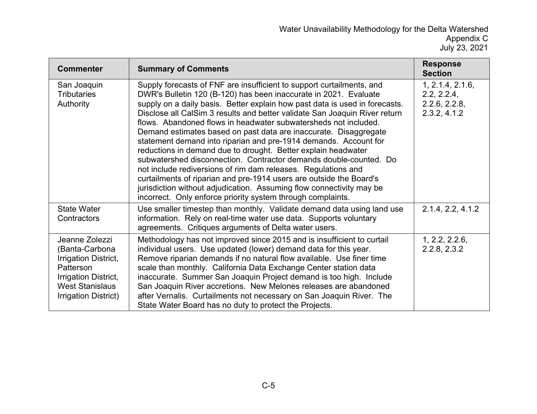| <b>Commenter</b>                                                                                                                                | <b>Summary of Comments</b>                                                                                                                                                                                                                                                                                                                                                                                                                                                                                                                                                                                                                                                                                                                                                                                                                                                                                                             | <b>Response</b><br><b>Section</b>                                |
|-------------------------------------------------------------------------------------------------------------------------------------------------|----------------------------------------------------------------------------------------------------------------------------------------------------------------------------------------------------------------------------------------------------------------------------------------------------------------------------------------------------------------------------------------------------------------------------------------------------------------------------------------------------------------------------------------------------------------------------------------------------------------------------------------------------------------------------------------------------------------------------------------------------------------------------------------------------------------------------------------------------------------------------------------------------------------------------------------|------------------------------------------------------------------|
| San Joaquin<br><b>Tributaries</b><br>Authority                                                                                                  | Supply forecasts of FNF are insufficient to support curtailments, and<br>DWR's Bulletin 120 (B-120) has been inaccurate in 2021. Evaluate<br>supply on a daily basis. Better explain how past data is used in forecasts.<br>Disclose all CalSim 3 results and better validate San Joaquin River return<br>flows. Abandoned flows in headwater subwatersheds not included.<br>Demand estimates based on past data are inaccurate. Disaggregate<br>statement demand into riparian and pre-1914 demands. Account for<br>reductions in demand due to drought. Better explain headwater<br>subwatershed disconnection. Contractor demands double-counted. Do<br>not include rediversions of rim dam releases. Regulations and<br>curtailments of riparian and pre-1914 users are outside the Board's<br>jurisdiction without adjudication. Assuming flow connectivity may be<br>incorrect. Only enforce priority system through complaints. | 1, 2.1.4, 2.1.6,<br>2.2, 2.2.4,<br>2.2.6, 2.2.8,<br>2.3.2, 4.1.2 |
| <b>State Water</b><br>Contractors                                                                                                               | Use smaller timestep than monthly. Validate demand data using land use<br>information. Rely on real-time water use data. Supports voluntary<br>agreements. Critiques arguments of Delta water users.                                                                                                                                                                                                                                                                                                                                                                                                                                                                                                                                                                                                                                                                                                                                   | 2.1.4, 2.2, 4.1.2                                                |
| Jeanne Zolezzi<br>(Banta-Carbona<br>Irrigation District,<br>Patterson<br>Irrigation District,<br><b>West Stanislaus</b><br>Irrigation District) | Methodology has not improved since 2015 and is insufficient to curtail<br>individual users. Use updated (lower) demand data for this year.<br>Remove riparian demands if no natural flow available. Use finer time<br>scale than monthly. California Data Exchange Center station data<br>inaccurate. Summer San Joaquin Project demand is too high. Include<br>San Joaquin River accretions. New Melones releases are abandoned<br>after Vernalis. Curtailments not necessary on San Joaquin River. The<br>State Water Board has no duty to protect the Projects.                                                                                                                                                                                                                                                                                                                                                                     | 1, 2.2, 2.2.6,<br>2.2.8, 2.3.2                                   |